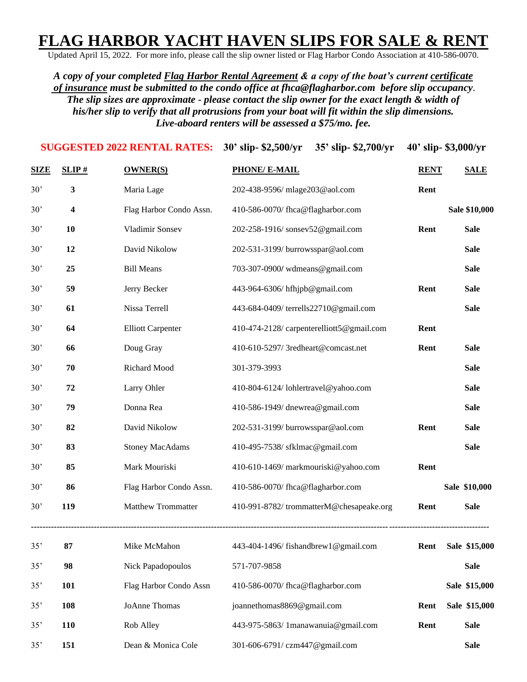## **FLAG HARBOR YACHT HAVEN SLIPS FOR SALE & RENT**

Updated April 15, 2022. For more info, please call the slip owner listed or Flag Harbor Condo Association at 410-586-0070.

*A copy of your completed Flag Harbor Rental Agreement & a copy of the boat's current certificate of insurance must be submitted to the condo office at [fhca@flagharbor.com](mailto:fhca@flagharbor.com) before slip occupancy*. *The slip sizes are approximate - please contact the slip owner for the exact length & width of his/her slip to verify that all protrusions from your boat will fit within the slip dimensions. Live-aboard renters will be assessed a \$75/mo. fee.*

| <b>SUGGESTED 2022 RENTAL RATES:</b> |                         |                           | 30' slip- \$2,500/yr<br>35' slip-\$2,700/yr | 40' slip- \$3,000/yr |               |
|-------------------------------------|-------------------------|---------------------------|---------------------------------------------|----------------------|---------------|
| <b>SIZE</b>                         | SLIP#                   | <b>OWNER(S)</b>           | <b>PHONE/ E-MAIL</b>                        | <b>RENT</b>          | <b>SALE</b>   |
| 30'                                 | 3                       | Maria Lage                | 202-438-9596/ mlage203@aol.com              | Rent                 |               |
| 30'                                 | $\overline{\mathbf{4}}$ | Flag Harbor Condo Assn.   | 410-586-0070/fhca@flagharbor.com            |                      | Sale \$10,000 |
| 30'                                 | 10                      | Vladimir Sonsev           | 202-258-1916/sonsev52@gmail.com             | Rent                 | <b>Sale</b>   |
| 30'                                 | 12                      | David Nikolow             | 202-531-3199/burrowsspar@aol.com            |                      | <b>Sale</b>   |
| 30'                                 | 25                      | <b>Bill Means</b>         | 703-307-0900/ wdmeans@gmail.com             |                      | <b>Sale</b>   |
| 30'                                 | 59                      | Jerry Becker              | 443-964-6306/ hfhjpb@gmail.com              | Rent                 | <b>Sale</b>   |
| 30'                                 | 61                      | Nissa Terrell             | 443-684-0409/ terrells22710@gmail.com       |                      | <b>Sale</b>   |
| 30'                                 | 64                      | <b>Elliott Carpenter</b>  | 410-474-2128/ carpenterelliott5@gmail.com   | Rent                 |               |
| 30'                                 | 66                      | Doug Gray                 | 410-610-5297/ 3redheart@comcast.net         | Rent                 | <b>Sale</b>   |
| 30'                                 | 70                      | Richard Mood              | 301-379-3993                                |                      | <b>Sale</b>   |
| 30'                                 | 72                      | Larry Ohler               | 410-804-6124/lohlertravel@yahoo.com         |                      | <b>Sale</b>   |
| 30'                                 | 79                      | Donna Rea                 | 410-586-1949/ dnewrea@gmail.com             |                      | <b>Sale</b>   |
| 30'                                 | 82                      | David Nikolow             | 202-531-3199/burrowsspar@aol.com            | Rent                 | <b>Sale</b>   |
| 30'                                 | 83                      | <b>Stoney MacAdams</b>    | 410-495-7538/ sfklmac@gmail.com             |                      | <b>Sale</b>   |
| 30'                                 | 85                      | Mark Mouriski             | 410-610-1469/markmouriski@yahoo.com         | Rent                 |               |
| 30'                                 | 86                      | Flag Harbor Condo Assn.   | 410-586-0070/fhca@flagharbor.com            |                      | Sale \$10,000 |
| 30'                                 | 119                     | <b>Matthew Trommatter</b> | 410-991-8782/trommatterM@chesapeake.org     | Rent                 | <b>Sale</b>   |
| 35'                                 | 87                      | Mike McMahon              | 443-404-1496/fishandbrew1@gmail.com         | Rent                 | Sale \$15,000 |
| 35'                                 | 98                      | Nick Papadopoulos         | 571-707-9858                                |                      | <b>Sale</b>   |
| 35'                                 | 101                     | Flag Harbor Condo Assn    | 410-586-0070/fhca@flagharbor.com            |                      | Sale \$15,000 |
| 35'                                 | 108                     | JoAnne Thomas             | joannethomas8869@gmail.com                  | Rent                 | Sale \$15,000 |
| 35'                                 | 110                     | Rob Alley                 | 443-975-5863/ 1manawanuia@gmail.com         | Rent                 | <b>Sale</b>   |
| 35'                                 | 151                     | Dean & Monica Cole        | 301-606-6791/czm447@gmail.com               |                      | <b>Sale</b>   |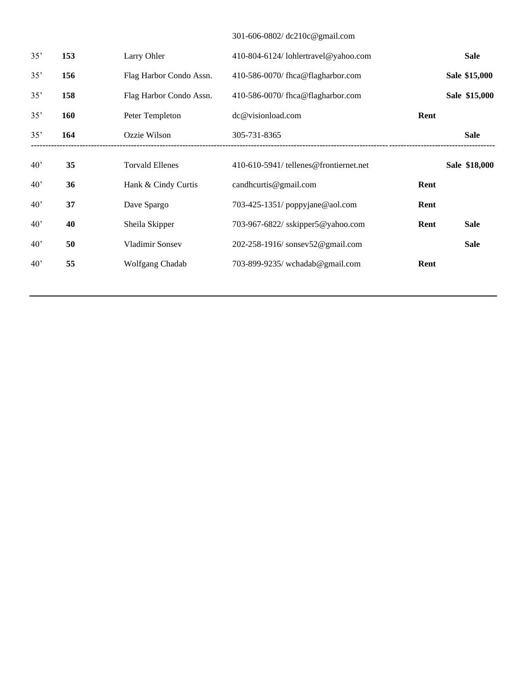## 301-606-0802/ [dc210c@gmail.com](mailto:dc210c@gmail.com)

| 35'          | 153        | Larry Ohler             | 410-804-6124/lohlertravel@yahoo.com    |      | <b>Sale</b>   |
|--------------|------------|-------------------------|----------------------------------------|------|---------------|
| 35'          | 156        | Flag Harbor Condo Assn. | 410-586-0070/fhca@flagharbor.com       |      | Sale \$15,000 |
| 35'          | 158        | Flag Harbor Condo Assn. | 410-586-0070/fhca@flagharbor.com       |      | Sale \$15,000 |
| 35'          | <b>160</b> | Peter Templeton         | dc@visionload.com                      | Rent |               |
| 35'          | 164        | Ozzie Wilson            | 305-731-8365                           |      | <b>Sale</b>   |
| 40'          | 35         | <b>Torvald Ellenes</b>  | 410-610-5941/ tellenes@frontiernet.net |      | Sale \$18,000 |
| 40'          | 36         | Hank & Cindy Curtis     | candhcurtis@gmail.com                  | Rent |               |
| 40'          | 37         | Dave Spargo             | 703-425-1351/ poppyjane@aol.com        | Rent |               |
| 40'          | 40         | Sheila Skipper          | 703-967-6822/ sskipper5@yahoo.com      | Rent | <b>Sale</b>   |
| $40^{\circ}$ | 50         | Vladimir Sonsey         | 202-258-1916/sonsev52@gmail.com        |      | <b>Sale</b>   |
| 40'          | 55         | Wolfgang Chadab         | 703-899-9235/ wchadab@gmail.com        | Rent |               |